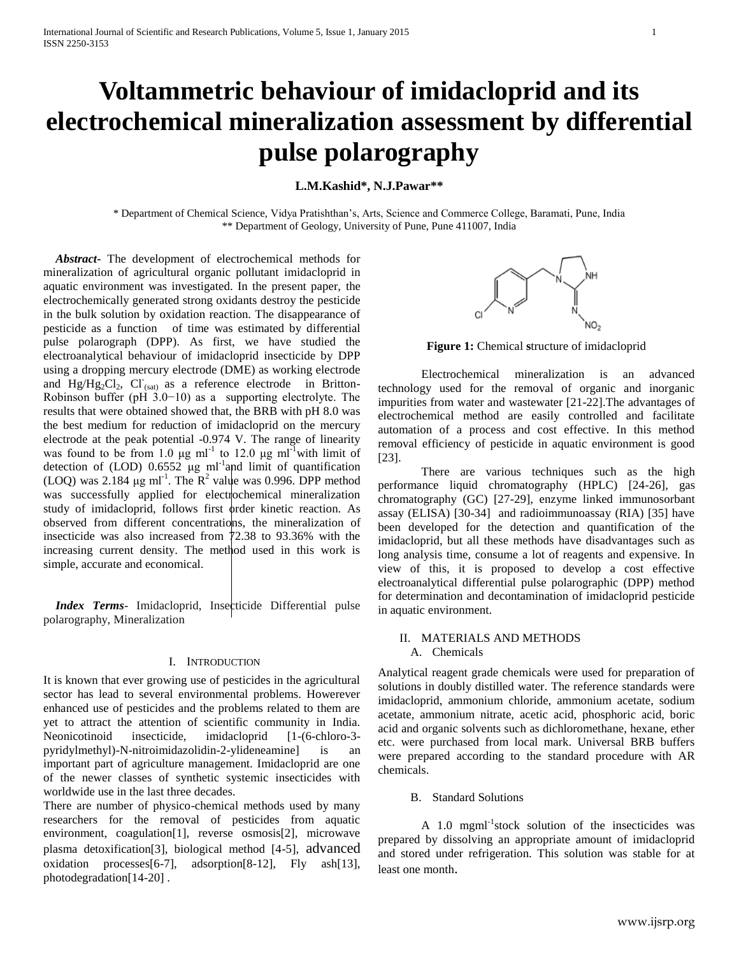# **Voltammetric behaviour of imidacloprid and its electrochemical mineralization assessment by differential pulse polarography**

**L.M.Kashid\*, N.J.Pawar\*\***

\* Department of Chemical Science, Vidya Pratishthan's, Arts, Science and Commerce College, Baramati, Pune, India \*\* Department of Geology, University of Pune, Pune 411007, India

 *Abstract***-** The development of electrochemical methods for mineralization of agricultural organic pollutant imidacloprid in aquatic environment was investigated. In the present paper, the electrochemically generated strong oxidants destroy the pesticide in the bulk solution by oxidation reaction. The disappearance of pesticide as a function of time was estimated by differential pulse polarograph (DPP). As first, we have studied the electroanalytical behaviour of imidacloprid insecticide by DPP using a dropping mercury electrode (DME) as working electrode and  $Hg/Hg_2Cl_2$ ,  $Cl_{\text{sat}}$  as a reference electrode in Britton-Robinson buffer (pH 3.0−10) as a supporting electrolyte. The results that were obtained showed that, the BRB with pH 8.0 was the best medium for reduction of imidacloprid on the mercury electrode at the peak potential -0.974 V. The range of linearity was found to be from 1.0  $\mu$ g ml<sup>-1</sup> to 12.0  $\mu$ g ml<sup>-1</sup> with limit of detection of (LOD)  $0.6552 \mu g$  ml<sup>-1</sup> and limit of quantification (LOQ) was 2.184  $\mu$ g ml<sup>-1</sup>. The R<sup>2</sup> value was 0.996. DPP method was successfully applied for electrochemical mineralization study of imidacloprid, follows first order kinetic reaction. As observed from different concentrations, the mineralization of insecticide was also increased from 72.38 to 93.36% with the increasing current density. The method used in this work is simple, accurate and economical.

*Index Terms*- Imidacloprid, Insecticide Differential pulse polarography, Mineralization

## I. INTRODUCTION

It is known that ever growing use of pesticides in the agricultural sector has lead to several environmental problems. Howerever enhanced use of pesticides and the problems related to them are yet to attract the attention of scientific community in India. Neonicotinoid insecticide, imidacloprid [1-(6-chloro-3 pyridylmethyl)-N-nitroimidazolidin-2-ylideneamine] is an important part of agriculture management. Imidacloprid are one of the newer classes of synthetic systemic insecticides with worldwide use in the last three decades.

There are number of physico-chemical methods used by many researchers for the removal of pesticides from aquatic environment, coagulation[1], reverse osmosis[2], microwave plasma detoxification[3], biological method [4-5], advanced oxidation processes[6-7], adsorption[8-12], Fly ash[13], photodegradation[14-20] .



**Figure 1:** Chemical **s**tructure of imidacloprid

Electrochemical mineralization is an advanced technology used for the removal of organic and inorganic impurities from water and wastewater [21-22].The advantages of electrochemical method are easily controlled and facilitate automation of a process and cost effective. In this method removal efficiency of pesticide in aquatic environment is good [23].

There are various techniques such as the high performance liquid chromatography (HPLC) [24-26], gas chromatography (GC) [27-29], enzyme linked immunosorbant assay (ELISA) [30-34] and radioimmunoassay (RIA) [35] have been developed for the detection and quantification of the imidacloprid, but all these methods have disadvantages such as long analysis time, consume a lot of reagents and expensive. In view of this, it is proposed to develop a cost effective electroanalytical differential pulse polarographic (DPP) method for determination and decontamination of imidacloprid pesticide in aquatic environment.

# II. MATERIALS AND METHODS A. Chemicals

Analytical reagent grade chemicals were used for preparation of solutions in doubly distilled water. The reference standards were imidacloprid, ammonium chloride, ammonium acetate, sodium acetate, ammonium nitrate, acetic acid, phosphoric acid, boric acid and organic solvents such as dichloromethane, hexane, ether etc. were purchased from local mark. Universal BRB buffers were prepared according to the standard procedure with AR chemicals.

# B. Standard Solutions

A 1.0 mgml<sup>-1</sup>stock solution of the insecticides was prepared by dissolving an appropriate amount of imidacloprid and stored under refrigeration. This solution was stable for at least one month.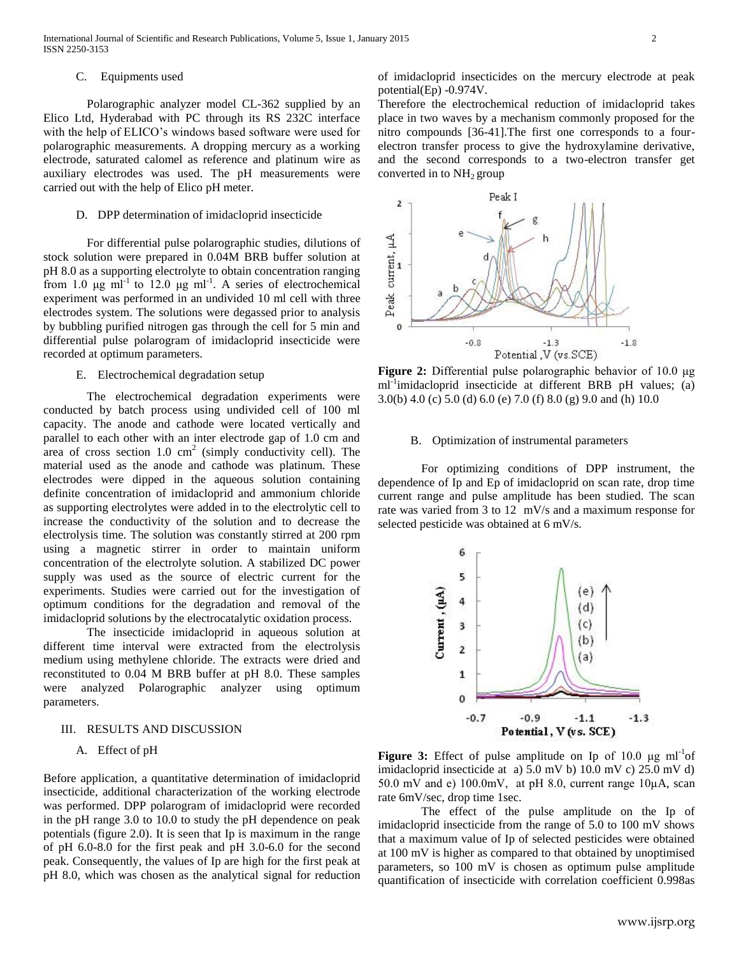## C. Equipments used

Polarographic analyzer model CL-362 supplied by an Elico Ltd, Hyderabad with PC through its RS 232C interface with the help of ELICO's windows based software were used for polarographic measurements. A dropping mercury as a working electrode, saturated calomel as reference and platinum wire as auxiliary electrodes was used. The pH measurements were carried out with the help of Elico pH meter.

## D. DPP determination of imidacloprid insecticide

For differential pulse polarographic studies, dilutions of stock solution were prepared in 0.04M BRB buffer solution at pH 8.0 as a supporting electrolyte to obtain concentration ranging from 1.0  $\mu$ g ml<sup>-1</sup> to 12.0  $\mu$ g ml<sup>-1</sup>. A series of electrochemical experiment was performed in an undivided 10 ml cell with three electrodes system. The solutions were degassed prior to analysis by bubbling purified nitrogen gas through the cell for 5 min and differential pulse polarogram of imidacloprid insecticide were recorded at optimum parameters.

## E. Electrochemical degradation setup

The electrochemical degradation experiments were conducted by batch process using undivided cell of 100 ml capacity. The anode and cathode were located vertically and parallel to each other with an inter electrode gap of 1.0 cm and area of cross section 1.0  $\text{cm}^2$  (simply conductivity cell). The material used as the anode and cathode was platinum. These electrodes were dipped in the aqueous solution containing definite concentration of imidacloprid and ammonium chloride as supporting electrolytes were added in to the electrolytic cell to increase the conductivity of the solution and to decrease the electrolysis time. The solution was constantly stirred at 200 rpm using a magnetic stirrer in order to maintain uniform concentration of the electrolyte solution. A stabilized DC power supply was used as the source of electric current for the experiments. Studies were carried out for the investigation of optimum conditions for the degradation and removal of the imidacloprid solutions by the electrocatalytic oxidation process.

The insecticide imidacloprid in aqueous solution at different time interval were extracted from the electrolysis medium using methylene chloride. The extracts were dried and reconstituted to 0.04 M BRB buffer at pH 8.0. These samples were analyzed Polarographic analyzer using optimum parameters.

## III. RESULTS AND DISCUSSION

# A. Effect of pH

Before application, a quantitative determination of imidacloprid insecticide, additional characterization of the working electrode was performed. DPP polarogram of imidacloprid were recorded in the pH range 3.0 to 10.0 to study the pH dependence on peak potentials (figure 2.0). It is seen that Ip is maximum in the range of pH 6.0-8.0 for the first peak and pH 3.0-6.0 for the second peak. Consequently, the values of Ip are high for the first peak at pH 8.0, which was chosen as the analytical signal for reduction

of imidacloprid insecticides on the mercury electrode at peak potential(Ep) -0.974V.

Therefore the electrochemical reduction of imidacloprid takes place in two waves by a mechanism commonly proposed for the nitro compounds [36-41].The first one corresponds to a fourelectron transfer process to give the hydroxylamine derivative, and the second corresponds to a two-electron transfer get converted in to  $NH<sub>2</sub>$  group



**Figure 2:** Differential pulse polarographic behavior of 10.0 μg ml<sup>-1</sup>imidacloprid insecticide at different BRB pH values; (a) 3.0(b) 4.0 (c) 5.0 (d) 6.0 (e) 7.0 (f) 8.0 (g) 9.0 and (h) 10.0

### B. Optimization of instrumental parameters

For optimizing conditions of DPP instrument, the dependence of Ip and Ep of imidacloprid on scan rate, drop time current range and pulse amplitude has been studied. The scan rate was varied from 3 to 12 mV/s and a maximum response for selected pesticide was obtained at 6 mV/s.



**Figure 3:** Effect of pulse amplitude on Ip of  $10.0 \mu g$  ml<sup>-1</sup>of imidacloprid insecticide at a) 5.0 mV b) 10.0 mV c) 25.0 mV d) 50.0 mV and e) 100.0mV, at pH 8.0, current range 10μA, scan rate 6mV/sec, drop time 1sec.

The effect of the pulse amplitude on the Ip of imidacloprid insecticide from the range of 5.0 to 100 mV shows that a maximum value of Ip of selected pesticides were obtained at 100 mV is higher as compared to that obtained by unoptimised parameters, so 100 mV is chosen as optimum pulse amplitude quantification of insecticide with correlation coefficient 0.998as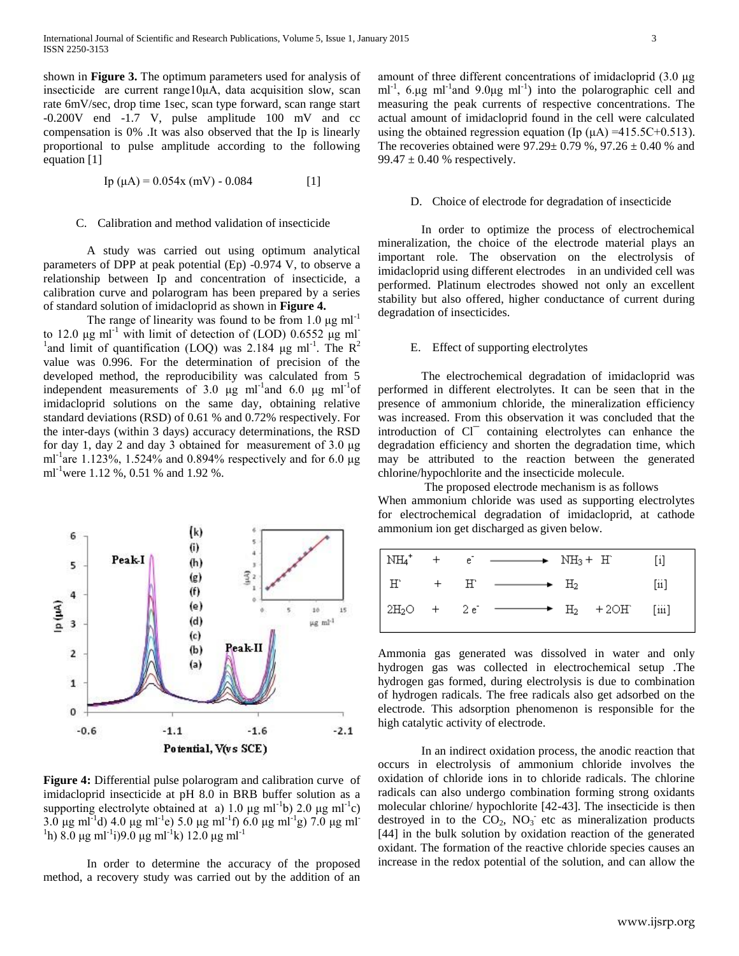shown in **Figure 3.** The optimum parameters used for analysis of insecticide are current range10μA, data acquisition slow, scan rate 6mV/sec, drop time 1sec, scan type forward, scan range start -0.200V end -1.7 V, pulse amplitude 100 mV and cc compensation is 0% .It was also observed that the Ip is linearly proportional to pulse amplitude according to the following equation [1]

$$
Ip (µA) = 0.054x (mV) - 0.084
$$
 [1]

## C. Calibration and method validation of insecticide

A study was carried out using optimum analytical parameters of DPP at peak potential (Ep) -0.974 V, to observe a relationship between Ip and concentration of insecticide, a calibration curve and polarogram has been prepared by a series of standard solution of imidacloprid as shown in **Figure 4.**

The range of linearity was found to be from 1.0  $\mu$ g ml<sup>-1</sup> to 12.0 μg ml<sup>-1</sup> with limit of detection of (LOD)  $0.6552 \mu g$  ml<sup>-</sup> <sup>1</sup> and limit of quantification (LOQ) was 2.184  $\mu$ g ml<sup>-1</sup>. The R<sup>2</sup> value was 0.996. For the determination of precision of the developed method, the reproducibility was calculated from 5 independent measurements of 3.0  $\mu$ g ml<sup>-1</sup> and 6.0  $\mu$ g ml<sup>-1</sup> of imidacloprid solutions on the same day, obtaining relative standard deviations (RSD) of 0.61 % and 0.72% respectively. For the inter-days (within 3 days) accuracy determinations, the RSD for day 1, day 2 and day 3 obtained for measurement of 3.0 μg ml<sup>-1</sup>are 1.123%, 1.524% and 0.894% respectively and for 6.0 μg ml<sup>-1</sup>were 1.12 %, 0.51 % and 1.92 %.



**Figure 4:** Differential pulse polarogram and calibration curve of imidacloprid insecticide at pH 8.0 in BRB buffer solution as a supporting electrolyte obtained at a) 1.0  $\mu$ g ml<sup>-1</sup>b) 2.0  $\mu$ g ml<sup>-1</sup>c)  $3.0 \text{ µg m}$ l<sup>-1</sup>d)  $4.0 \text{ µg m}$ l<sup>-1</sup>e)  $5.0 \text{ µg m}$ l<sup>-1</sup>f)  $6.0 \text{ µg m}$ l<sup>-1</sup>g)  $7.0 \text{ µg m}$ l<sup>-1</sup> <sup>1</sup>h) 8.0 μg ml<sup>-1</sup>i)9.0 μg ml<sup>-1</sup>k) 12.0 μg ml<sup>-1</sup>

In order to determine the accuracy of the proposed method, a recovery study was carried out by the addition of an amount of three different concentrations of imidacloprid (3.0 μg ml<sup>-1</sup>, 6.µg ml<sup>-1</sup> and 9.0µg ml<sup>-1</sup>) into the polarographic cell and measuring the peak currents of respective concentrations. The actual amount of imidacloprid found in the cell were calculated using the obtained regression equation (Ip  $(\mu A)$  =415.5C+0.513). The recoveries obtained were  $97.29 \pm 0.79$  %,  $97.26 \pm 0.40$  % and 99.47  $\pm$  0.40 % respectively.

#### D. Choice of electrode for degradation of insecticide

In order to optimize the process of electrochemical mineralization, the choice of the electrode material plays an important role. The observation on the electrolysis of imidacloprid using different electrodes in an undivided cell was performed. Platinum electrodes showed not only an excellent stability but also offered, higher conductance of current during degradation of insecticides.

### E. Effect of supporting electrolytes

The electrochemical degradation of imidacloprid was performed in different electrolytes. It can be seen that in the presence of ammonium chloride, the mineralization efficiency was increased. From this observation it was concluded that the introduction of Cl<sup>-</sup> containing electrolytes can enhance the degradation efficiency and shorten the degradation time, which may be attributed to the reaction between the generated chlorine/hypochlorite and the insecticide molecule.

The proposed electrode mechanism is as follows When ammonium chloride was used as supporting electrolytes for electrochemical degradation of imidacloprid, at cathode ammonium ion get discharged as given below.

| $\mathrm{NH_4}^+$ |       | $+$ e $-$ NH <sub>3</sub> + H                               |  |                    |
|-------------------|-------|-------------------------------------------------------------|--|--------------------|
| $H^{\circ}$       | $+$ H | $\longrightarrow$ $\rightarrow$ $\rightarrow$ $\rightarrow$ |  | $\lceil 11 \rceil$ |
|                   |       | $2H_2O + 2e^ \longrightarrow H_2 + 2OH^-$ [iii]             |  |                    |

Ammonia gas generated was dissolved in water and only hydrogen gas was collected in electrochemical setup .The hydrogen gas formed, during electrolysis is due to combination of hydrogen radicals. The free radicals also get adsorbed on the electrode. This adsorption phenomenon is responsible for the high catalytic activity of electrode.

In an indirect oxidation process, the anodic reaction that occurs in electrolysis of ammonium chloride involves the oxidation of chloride ions in to chloride radicals. The chlorine radicals can also undergo combination forming strong oxidants molecular chlorine/ hypochlorite [42-43]. The insecticide is then destroyed in to the  $CO<sub>2</sub>$ , NO<sub>3</sub> etc as mineralization products [44] in the bulk solution by oxidation reaction of the generated oxidant. The formation of the reactive chloride species causes an increase in the redox potential of the solution, and can allow the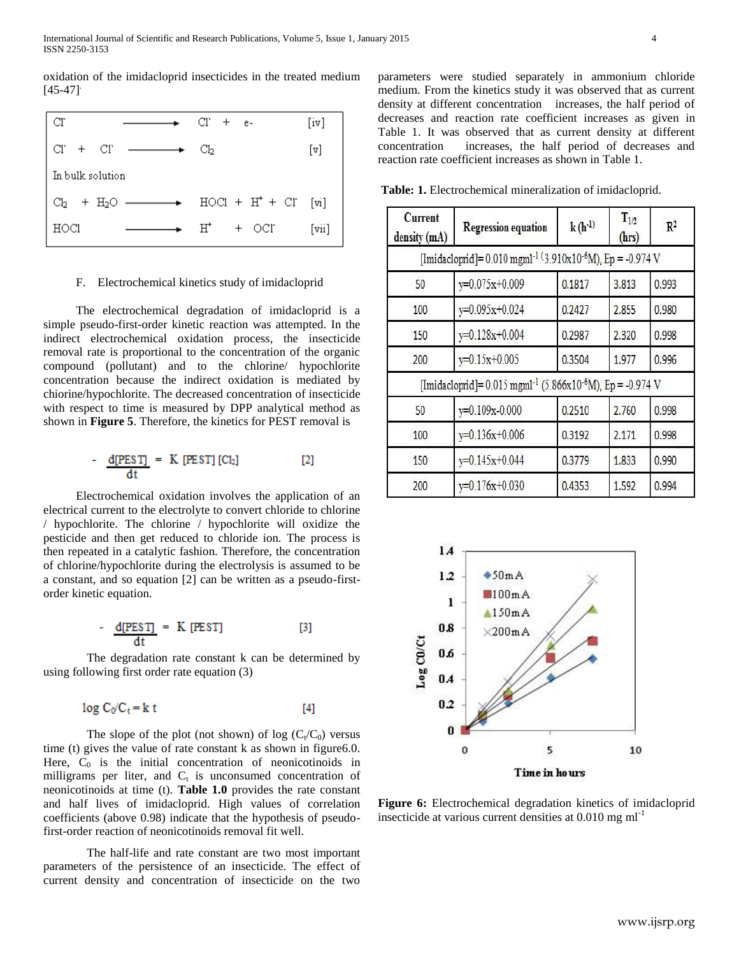oxidation of the imidacloprid insecticides in the treated medium  $[45-47]$ <sup>.</sup>

| CF.                                         | $CI' + e$             | [iv]                      |
|---------------------------------------------|-----------------------|---------------------------|
| $\overline{C}\Gamma$ + $\overline{C}\Gamma$ | Cb.                   | [v]                       |
| In bulk solution                            |                       |                           |
| $Cl_2$ + H <sub>2</sub> O —————             | $HOC1 + H' + C1$ [vi] |                           |
| HOC1                                        | $H^+$<br>+ OCI        | $[\overline{\text{vii}}]$ |

#### F. Electrochemical kinetics study of imidacloprid

The electrochemical degradation of imidacloprid is a simple pseudo-first-order kinetic reaction was attempted. In the indirect electrochemical oxidation process, the insecticide removal rate is proportional to the concentration of the organic compound (pollutant) and to the chlorine/ hypochlorite concentration because the indirect oxidation is mediated by chiorine/hypochlorite. The decreased concentration of insecticide with respect to time is measured by DPP analytical method as shown in **Figure 5**. Therefore, the kinetics for PEST removal is

$$
-\frac{d[PEST]}{dt} = K[PEST][Cl_2] \qquad [2]
$$

Electrochemical oxidation involves the application of an electrical current to the electrolyte to convert chloride to chlorine / hypochlorite. The chlorine / hypochlorite will oxidize the pesticide and then get reduced to chloride ion. The process is then repeated in a catalytic fashion. Therefore, the concentration of chlorine/hypochlorite during the electrolysis is assumed to be a constant, and so equation [2] can be written as a pseudo-firstorder kinetic equation.

$$
-\frac{d[PEST]}{dt} = K[PEST]
$$
 [3]

The degradation rate constant k can be determined by using following first order rate equation (3)

$$
\log C_0/C_t = k \ t \tag{4}
$$

The slope of the plot (not shown) of  $log (C_t/C_0)$  versus time (t) gives the value of rate constant k as shown in figure6.0. Here,  $C_0$  is the initial concentration of neonicotinoids in milligrams per liter, and  $C_t$  is unconsumed concentration of neonicotinoids at time (t). **Table 1.0** provides the rate constant and half lives of imidacloprid. High values of correlation coefficients (above 0.98) indicate that the hypothesis of pseudofirst-order reaction of neonicotinoids removal fit well.

The half-life and rate constant are two most important parameters of the [persistence](http://insects.tamu.edu/extension/bulletins/water/water_01.html#persistence-g) of an insecticide. The effect of current density and concentration of insecticide on the two

parameters were studied separately in ammonium chloride medium. From the kinetics study it was observed that as current density at different concentration increases, the half period of decreases and reaction rate coefficient increases as given in Table 1. It was observed that as current density at different concentration increases, the half period of decreases and reaction rate coefficient increases as shown in Table 1.

**Table: 1.** Electrochemical mineralization of imidacloprid.

| Current<br>density (mA) | <b>Regression equation</b>                                                           | $k(h^{-1})$ | $T_{1/2}$<br>(hrs) | $\mathbb{R}^2$ |
|-------------------------|--------------------------------------------------------------------------------------|-------------|--------------------|----------------|
|                         | [Imidacloprid]= $0.010$ mgml <sup>-1 (3.910x10-6</sup> M), Ep = -0.974 V             |             |                    |                |
| 50                      | y=0.075x+0.009                                                                       | 0.1817      | 3.813              | 0.993          |
| 100                     | y=0.095x+0.024                                                                       | 0.2427      | 2.855              | 0.980          |
| 150                     | y=0.128x+0.004                                                                       | 0.2987      | 2.320              | 0.998          |
| 200                     | $y=0.15x+0.005$                                                                      | 0.3504      | 1.977              | 0.996          |
|                         | [Imidacloprid]= $0.015$ mgml <sup>-1</sup> (5.866x10 <sup>-6</sup> M), Ep = -0.974 V |             |                    |                |
| 50                      | y=0.109x-0.000                                                                       | 0.2510      | 2.760              | 0.998          |
| 100                     | $y=0.136x+0.006$                                                                     | 0.3192      | 2.171              | 0.998          |
| 150                     | y=0.145x+0.044                                                                       | 0.3779      | 1.833              | 0.990          |
| 200                     | $y=0.176x+0.030$                                                                     | 0.4353      | 1.592              | 0.994          |



**Figure 6:** Electrochemical degradation kinetics of imidacloprid insecticide at various current densities at 0.010 mg ml-1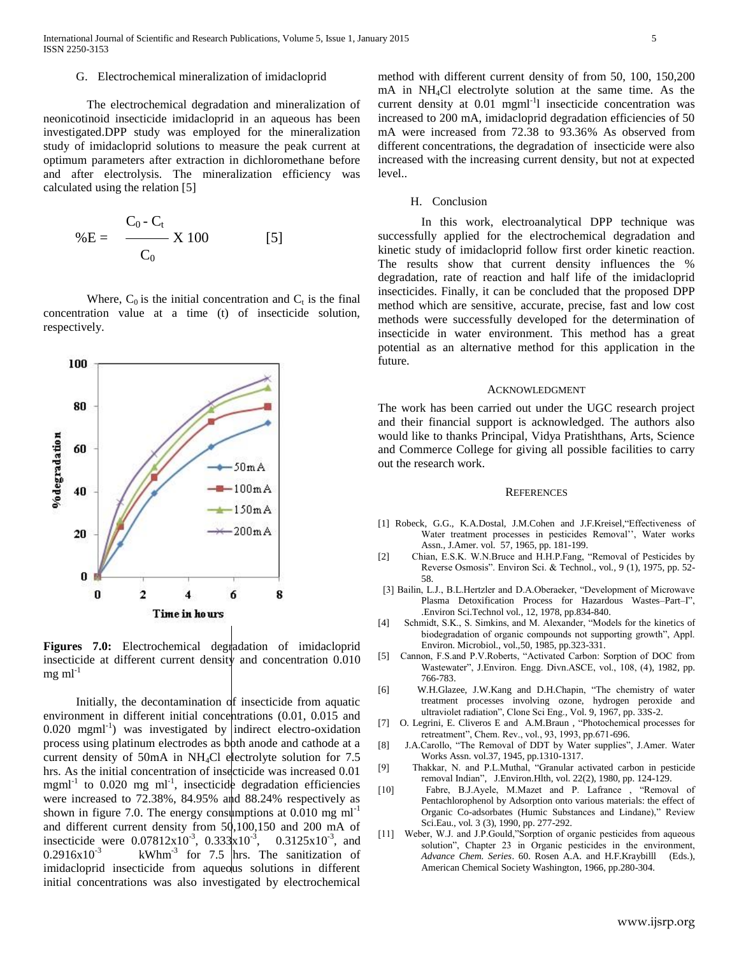### G. Electrochemical mineralization of imidacloprid

The electrochemical degradation and mineralization of neonicotinoid insecticide imidacloprid in an aqueous has been investigated.DPP study was employed for the mineralization study of imidacloprid solutions to measure the peak current at optimum parameters after extraction in dichloromethane before and after electrolysis. The mineralization efficiency was calculated using the relation [5]

$$
\%E = \frac{C_0 - C_t}{C_0} \times 100
$$
 [5]

Where,  $C_0$  is the initial concentration and  $C_t$  is the final concentration value at a time (t) of insecticide solution, respectively.



Figures 7.0: Electrochemical degradation of imidacloprid insecticide at different current density and concentration 0.010  $mg \, ml^{-1}$ 

Initially, the decontamination of insecticide from aquatic environment in different initial concentrations (0.01, 0.015 and 0.020 mgml<sup>-1</sup>) was investigated by indirect electro-oxidation process using platinum electrodes as both anode and cathode at a current density of 50mA in NH<sub>4</sub>Cl electrolyte solution for 7.5 hrs. As the initial concentration of insecticide was increased 0.01 mgml<sup>-1</sup> to 0.020 mg ml<sup>-1</sup>, insecticide degradation efficiencies were increased to 72.38%, 84.95% and 88.24% respectively as shown in figure 7.0. The energy consumptions at  $0.010$  mg ml<sup>-1</sup> and different current density from 50,100,150 and 200 mA of insecticide were  $0.07812 \times 10^{-3}$ ,  $0.333 \times 10^{-3}$ ,  $0.3125 \times 10^{-3}$ , and  $0.2916 \times 10^{-3}$  kWhm<sup>-3</sup> for 7.5 hrs. The sanitization of imidacloprid insecticide from aqueous solutions in different initial concentrations was also investigated by electrochemical

method with different current density of from 50, 100, 150,200 mA in NH4Cl electrolyte solution at the same time. As the current density at 0.01 mgml<sup>-1</sup>l insecticide concentration was increased to 200 mA, imidacloprid degradation efficiencies of 50 mA were increased from 72.38 to 93.36% As observed from different concentrations, the degradation of insecticide were also increased with the increasing current density, but not at expected level..

## H. Conclusion

In this work, electroanalytical DPP technique was successfully applied for the electrochemical degradation and kinetic study of imidacloprid follow first order kinetic reaction. The results show that current density influences the % degradation, rate of reaction and half life of the imidacloprid insecticides. Finally, it can be concluded that the proposed DPP method which are sensitive, accurate, precise, fast and low cost methods were successfully developed for the determination of insecticide in water environment. This method has a great potential as an alternative method for this application in the future.

#### ACKNOWLEDGMENT

The work has been carried out under the UGC research project and their financial support is acknowledged. The authors also would like to thanks Principal, Vidya Pratishthans, Arts, Science and Commerce College for giving all possible facilities to carry out the research work.

#### **REFERENCES**

- [1] Robeck, G.G., K.A.Dostal, J.M.Cohen and J.F.Kreisel, Effectiveness of Water treatment processes in pesticides Removal'', Water works Assn., J.Amer. vol. 57, 1965, pp. 181-199.
- [2] Chian, E.S.K. W.N.Bruce and H.H.P.Fang, "Removal of Pesticides by Reverse Osmosis". Environ Sci. & Technol., vol*.,* 9 (1), 1975, pp. 52- 58.
- [3] Bailin, L.J., B.L.Hertzler and D.A.Oberaeker, "Development of Microwave Plasma Detoxification Process for Hazardous Wastes–Part–I", .Environ Sci.Technol vol*.,* 12, 1978, pp.834-840.
- [4] Schmidt, S.K., S. Simkins, and M. Alexander, "Models for the kinetics of biodegradation of organic compounds not supporting growth", Appl. Environ. Microbiol., vol.,50, 1985, pp.323-331.
- [5] Cannon, F.S.and P.V.Roberts, "Activated Carbon: Sorption of DOC from Wastewater", J.Environ. Engg. Divn.ASCE, vol., 108, (4), 1982, pp. 766-783.
- [6] W.H.Glazee, J.W.Kang and D.H.Chapin, "The chemistry of water treatment processes involving ozone, hydrogen peroxide and ultraviolet radiation", Clone Sci Eng., Vol. 9, 1967, pp. 33S-2.
- [7] O. Legrini, E. Cliveros E and A.M.Braun , "Photochemical processes for retreatment", Chem. Rev., vol., 93, 1993, pp.671-696.
- [8] J.A.Carollo, "The Removal of DDT by Water supplies", J.Amer. Water Works Assn. vol.37, 1945, pp.1310-1317.
- [9] Thakkar, N. and P.L.Muthal, "Granular activated carbon in pesticide removal Indian", J.Environ.Hlth, vol. 22(2), 1980, pp. 124-129.
- [10] Fabre, B.J.Ayele, M.Mazet and P. Lafrance , "Removal of Pentachlorophenol by Adsorption onto various materials: the effect of Organic Co-adsorbates (Humic Substances and Lindane)," Review Sci.Eau., vol*.* 3 (3), 1990, pp. 277-292.
- [11] Weber, W.J. and J.P.Gould,"Sorption of organic pesticides from aqueous solution", Chapter 23 in Organic pesticides in the environment, Advance Chem. Series. 60. Rosen A.A. and H.F.Kraybilll (Eds.), Advance Chem. Series. 60. Rosen A.A. and H.F.Kraybilll American Chemical Society Washington, 1966, pp.280-304.